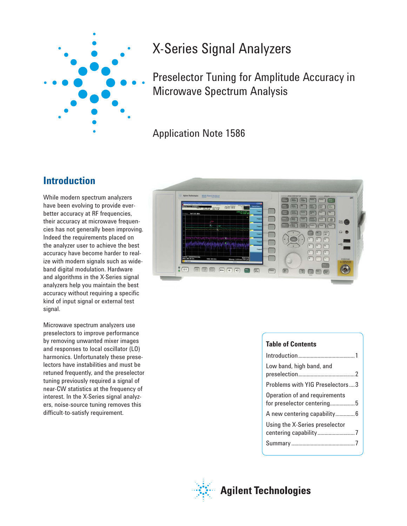

# X-Series Signal Analyzers

Preselector Tuning for Amplitude Accuracy in Microwave Spectrum Analysis

Application Note 1586

## **Introduction**

While modern spectrum analyzers have been evolving to provide everbetter accuracy at RF frequencies, their accuracy at microwave frequencies has not generally been improving. Indeed the requirements placed on the analyzer user to achieve the best accuracy have become harder to realize with modern signals such as wideband digital modulation. Hardware and algorithms in the X-Series signal analyzers help you maintain the best accuracy without requiring a specific kind of input signal or external test signal.

Microwave spectrum analyzers use preselectors to improve performance by removing unwanted mixer images and responses to local oscillator (LO) harmonics. Unfortunately these preselectors have instabilities and must be retuned frequently, and the preselector tuning previously required a signal of near-CW statistics at the frequency of interest. In the X-Series signal analyzers, noise-source tuning removes this difficult-to-satisfy requirement.



#### **Table of Contents**

| Low band, high band, and                                    |
|-------------------------------------------------------------|
| Problems with YIG Preselectors  3                           |
| Operation of and requirements<br>for preselector centering5 |
| A new centering capability6                                 |
| Using the X-Series preselector                              |
|                                                             |



## **Agilent Technologies**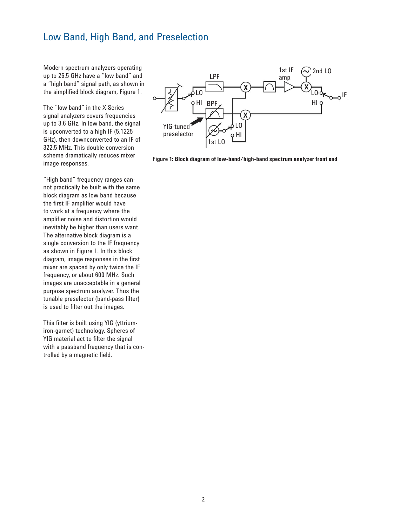#### Low Band, High Band, and Preselection

Modern spectrum analyzers operating up to 26.5 GHz have a "low band" and a "high band" signal path, as shown in the simplified block diagram, Figure 1.

The "low band" in the X-Series signal analyzers covers frequencies up to 3.6 GHz. In low band, the signal is upconverted to a high IF (5.1225 GHz), then downconverted to an IF of 322.5 MHz. This double conversion scheme dramatically reduces mixer image responses.

"High band" frequency ranges cannot practically be built with the same block diagram as low band because the first IF amplifier would have to work at a frequency where the amplifier noise and distortion would inevitably be higher than users want. The alternative block diagram is a single conversion to the IF frequency as shown in Figure 1. In this block diagram, image responses in the first mixer are spaced by only twice the IF frequency, or about 600 MHz. Such images are unacceptable in a general purpose spectrum analyzer. Thus the tunable preselector (band-pass filter) is used to filter out the images.

This filter is built using YIG (yttriumiron-garnet) technology. Spheres of YIG material act to filter the signal with a passband frequency that is controlled by a magnetic field.



**Figure 1: Block diagram of low-band/high-band spectrum analyzer front end**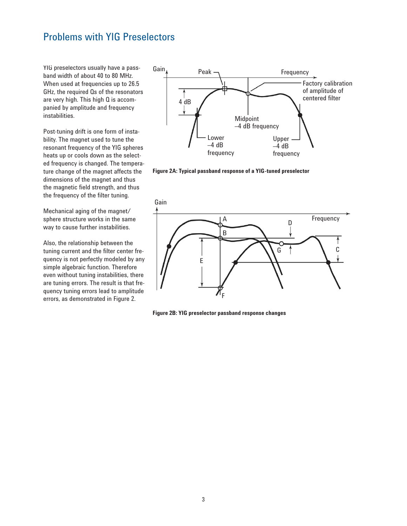## Problems with YIG Preselectors

YIG preselectors usually have a passband width of about 40 to 80 MHz. When used at frequencies up to 26.5 GHz, the required Qs of the resonators are very high. This high Q is accompanied by amplitude and frequency instabilities.

Post-tuning drift is one form of instability. The magnet used to tune the resonant frequency of the YIG spheres heats up or cools down as the selected frequency is changed. The temperature change of the magnet affects the dimensions of the magnet and thus the magnetic field strength, and thus the frequency of the filter tuning.

Mechanical aging of the magnet/ sphere structure works in the same way to cause further instabilities.

Also, the relationship between the tuning current and the filter center frequency is not perfectly modeled by any simple algebraic function. Therefore even without tuning instabilities, there are tuning errors. The result is that frequency tuning errors lead to amplitude errors, as demonstrated in Figure 2.



**Figure 2A: Typical passband response of a YIG-tuned preselector**



**Figure 2B: YIG preselector passband response changes**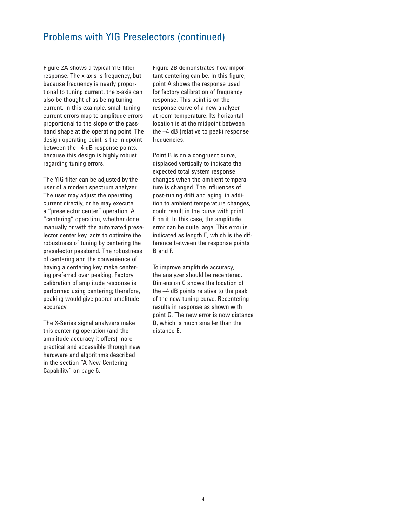### Problems with YIG Preselectors (continued)

Figure 2A shows a typical YIG filter response. The x-axis is frequency, but because frequency is nearly proportional to tuning current, the x-axis can also be thought of as being tuning current. In this example, small tuning current errors map to amplitude errors proportional to the slope of the passband shape at the operating point. The design operating point is the midpoint between the –4 dB response points, because this design is highly robust regarding tuning errors.

The YIG filter can be adjusted by the user of a modern spectrum analyzer. The user may adjust the operating current directly, or he may execute a "preselector center" operation. A "centering" operation, whether done manually or with the automated preselector center key, acts to optimize the robustness of tuning by centering the preselector passband. The robustness of centering and the convenience of having a centering key make centering preferred over peaking. Factory calibration of amplitude response is performed using centering; therefore, peaking would give poorer amplitude accuracy.

The X-Series signal analyzers make this centering operation (and the amplitude accuracy it offers) more practical and accessible through new hardware and algorithms described in the section "A New Centering Capability" on page 6.

Figure 2B demonstrates how important centering can be. In this figure, point A shows the response used for factory calibration of frequency response. This point is on the response curve of a new analyzer at room temperature. Its horizontal location is at the midpoint between the –4 dB (relative to peak) response frequencies.

Point B is on a congruent curve, displaced vertically to indicate the expected total system response changes when the ambient temperature is changed. The influences of post-tuning drift and aging, in addition to ambient temperature changes, could result in the curve with point F on it. In this case, the amplitude error can be quite large. This error is indicated as length E, which is the difference between the response points B and F.

To improve amplitude accuracy, the analyzer should be recentered. Dimension C shows the location of the –4 dB points relative to the peak of the new tuning curve. Recentering results in response as shown with point G. The new error is now distance D, which is much smaller than the distance E.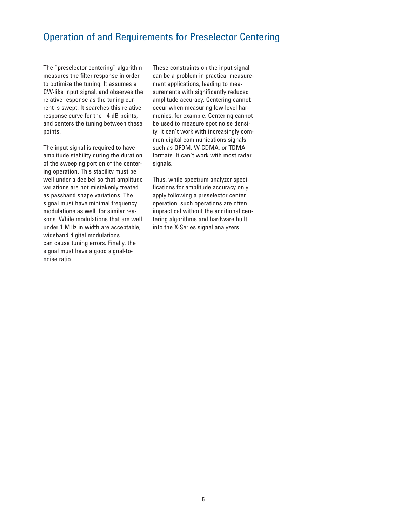## Operation of and Requirements for Preselector Centering

The "preselector centering" algorithm measures the filter response in order to optimize the tuning. It assumes a CW-like input signal, and observes the relative response as the tuning current is swept. It searches this relative response curve for the –4 dB points, and centers the tuning between these points.

The input signal is required to have amplitude stability during the duration of the sweeping portion of the centering operation. This stability must be well under a decibel so that amplitude variations are not mistakenly treated as passband shape variations. The signal must have minimal frequency modulations as well, for similar reasons. While modulations that are well under 1 MHz in width are acceptable, wideband digital modulations can cause tuning errors. Finally, the signal must have a good signal-tonoise ratio.

These constraints on the input signal can be a problem in practical measurement applications, leading to measurements with significantly reduced amplitude accuracy. Centering cannot occur when measuring low-level harmonics, for example. Centering cannot be used to measure spot noise density. It can't work with increasingly common digital communications signals such as OFDM, W-CDMA, or TDMA formats. It can't work with most radar signals.

Thus, while spectrum analyzer specifications for amplitude accuracy only apply following a preselector center operation, such operations are often impractical without the additional centering algorithms and hardware built into the X-Series signal analyzers.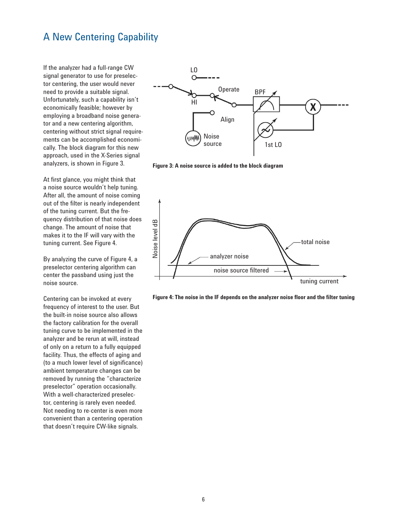## A New Centering Capability

If the analyzer had a full-range CW signal generator to use for preselector centering, the user would never need to provide a suitable signal. Unfortunately, such a capability isn't economically feasible; however by employing a broadband noise generator and a new centering algorithm, centering without strict signal requirements can be accomplished economically. The block diagram for this new approach, used in the X-Series signal analyzers, is shown in Figure 3.

At first glance, you might think that a noise source wouldn't help tuning. After all, the amount of noise coming out of the filter is nearly independent of the tuning current. But the frequency distribution of that noise does change. The amount of noise that makes it to the IF will vary with the tuning current. See Figure 4.

By analyzing the curve of Figure 4, a preselector centering algorithm can center the passband using just the noise source.

Centering can be invoked at every frequency of interest to the user. But the built-in noise source also allows the factory calibration for the overall tuning curve to be implemented in the analyzer and be rerun at will, instead of only on a return to a fully equipped facility. Thus, the effects of aging and (to a much lower level of significance) ambient temperature changes can be removed by running the "characterize preselector" operation occasionally. With a well-characterized preselector, centering is rarely even needed. Not needing to re-center is even more convenient than a centering operation that doesn't require CW-like signals.



**Figure 3: A noise source is added to the block diagram**



**Figure 4: The noise in the IF depends on the analyzer noise floor and the filter tuning**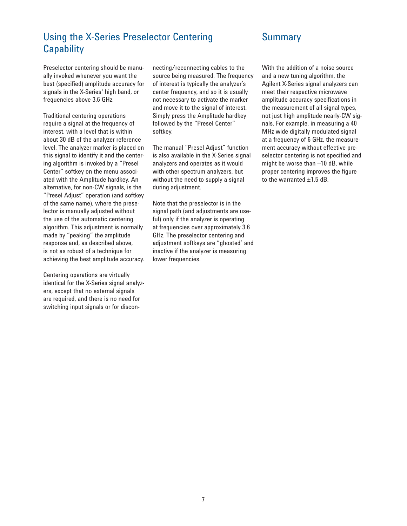## Using the X-Series Preselector Centering **Capability**

#### Preselector centering should be manually invoked whenever you want the best (specified) amplitude accuracy for signals in the X-Series' high band, or frequencies above 3.6 GHz.

Traditional centering operations require a signal at the frequency of interest, with a level that is within about 30 dB of the analyzer reference level. The analyzer marker is placed on this signal to identify it and the centering algorithm is invoked by a "Presel Center" softkey on the menu associated with the Amplitude hardkey. An alternative, for non-CW signals, is the "Presel Adjust" operation (and softkey of the same name), where the preselector is manually adjusted without the use of the automatic centering algorithm. This adjustment is normally made by "peaking" the amplitude response and, as described above, is not as robust of a technique for achieving the best amplitude accuracy.

Centering operations are virtually identical for the X-Series signal analyzers, except that no external signals are required, and there is no need for switching input signals or for discon-

necting/reconnecting cables to the source being measured. The frequency of interest is typically the analyzer's center frequency, and so it is usually not necessary to activate the marker and move it to the signal of interest. Simply press the Amplitude hardkey followed by the "Presel Center" softkey.

The manual "Presel Adjust" function is also available in the X-Series signal analyzers and operates as it would with other spectrum analyzers, but without the need to supply a signal during adjustment.

Note that the preselector is in the signal path (and adjustments are useful) only if the analyzer is operating at frequencies over approximately 3.6 GHz. The preselector centering and adjustment softkeys are "ghosted' and inactive if the analyzer is measuring lower frequencies.

#### Summary

With the addition of a noise source and a new tuning algorithm, the Agilent X-Series signal analyzers can meet their respective microwave amplitude accuracy specifications in the measurement of all signal types, not just high amplitude nearly-CW signals. For example, in measuring a 40 MHz wide digitally modulated signal at a frequency of 6 GHz, the measurement accuracy without effective preselector centering is not specified and might be worse than –10 dB, while proper centering improves the figure to the warranted ±1.5 dB.